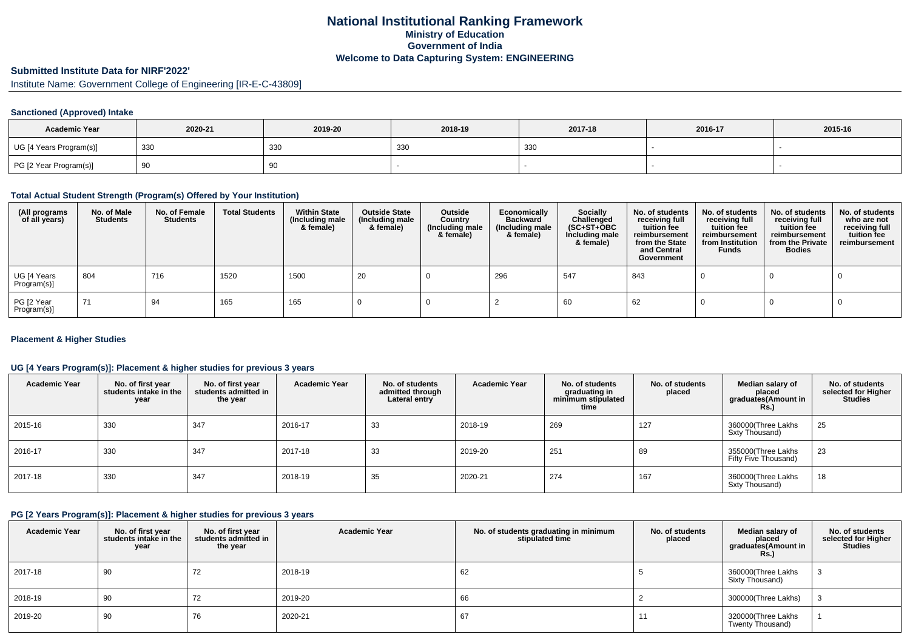# **National Institutional Ranking FrameworkMinistry of Education Government of IndiaWelcome to Data Capturing System: ENGINEERING**

# **Submitted Institute Data for NIRF'2022'**

Institute Name: Government College of Engineering [IR-E-C-43809]

#### **Sanctioned (Approved) Intake**

| <b>Academic Year</b>    | 2020-21 | 2019-20 | 2018-19 | 2017-18 | 2016-17 | 2015-16 |
|-------------------------|---------|---------|---------|---------|---------|---------|
| UG [4 Years Program(s)] | 330     | 330     | 330     | 330     |         |         |
| PG [2 Year Program(s)]  | ັບ      | 90      |         |         |         |         |

### **Total Actual Student Strength (Program(s) Offered by Your Institution)**

| (All programs<br>of all years) | No. of Male<br><b>Students</b> | No. of Female<br><b>Students</b> | <b>Total Students</b> | <b>Within State</b><br>(Including male<br>& female) | <b>Outside State</b><br>(Including male<br>& female) | Outside<br>Country<br>(Including male<br>& female) | Economically<br><b>Backward</b><br>(Including male<br>& female) | <b>Socially</b><br>Challenged<br>$(SC+ST+OBC)$<br>Including male<br>& female) | No. of students<br>receiving full<br>tuition fee<br>reimbursement<br>from the State<br>and Central<br>Government | No. of students<br>receiving full<br>tuition fee<br>reimbursement<br>from Institution<br><b>Funds</b> | No. of students<br>receiving full<br>tuition fee<br>reimbursement<br>from the Private<br><b>Bodies</b> | No. of students<br>who are not<br>receiving full<br>tuition fee<br>reimbursement |
|--------------------------------|--------------------------------|----------------------------------|-----------------------|-----------------------------------------------------|------------------------------------------------------|----------------------------------------------------|-----------------------------------------------------------------|-------------------------------------------------------------------------------|------------------------------------------------------------------------------------------------------------------|-------------------------------------------------------------------------------------------------------|--------------------------------------------------------------------------------------------------------|----------------------------------------------------------------------------------|
| UG [4 Years<br>Program(s)]     | 804                            | 716                              | 1520                  | 1500                                                | 20                                                   |                                                    | 296                                                             | 547                                                                           | 843                                                                                                              |                                                                                                       |                                                                                                        |                                                                                  |
| PG [2 Year<br>Program(s)]      | 71                             | 94                               | 165                   | 165                                                 |                                                      |                                                    |                                                                 | 60                                                                            | 62                                                                                                               |                                                                                                       |                                                                                                        |                                                                                  |

#### **Placement & Higher Studies**

#### **UG [4 Years Program(s)]: Placement & higher studies for previous 3 years**

| <b>Academic Year</b> | No. of first year<br>students intake in the<br>year | No. of first year<br>students admitted in<br>the year | <b>Academic Year</b> | No. of students<br>admitted through<br>Lateral entry | <b>Academic Year</b> | No. of students<br>graduating in<br>minimum stipulated<br>time | No. of students<br>placed | Median salary of<br>placed<br>graduates(Amount in<br>Rs.) | No. of students<br>selected for Higher<br><b>Studies</b> |
|----------------------|-----------------------------------------------------|-------------------------------------------------------|----------------------|------------------------------------------------------|----------------------|----------------------------------------------------------------|---------------------------|-----------------------------------------------------------|----------------------------------------------------------|
| 2015-16              | 330                                                 | 347                                                   | 2016-17              | 33                                                   | 2018-19              | 269                                                            | 127                       | 360000(Three Lakhs<br>Sxty Thousand)                      | 25                                                       |
| 2016-17              | 330                                                 | 347                                                   | 2017-18              | 33                                                   | 2019-20              | 251                                                            | 89                        | 355000(Three Lakhs<br>Fifty Five Thousand)                | 23                                                       |
| 2017-18              | 330                                                 | 347                                                   | 2018-19              | 35                                                   | 2020-21              | 274                                                            | 167                       | 360000(Three Lakhs<br>Sxty Thousand)                      | 18                                                       |

### **PG [2 Years Program(s)]: Placement & higher studies for previous 3 years**

| <b>Academic Year</b> | No. of first year<br>students intake in the<br>year | No. of first year<br>students admitted in<br>the year | <b>Academic Year</b> | No. of students graduating in minimum<br>stipulated time | No. of students<br>placed | Median salary of<br>placed<br>graduates(Amount in<br><b>Rs.)</b> | No. of students<br>selected for Higher<br><b>Studies</b> |
|----------------------|-----------------------------------------------------|-------------------------------------------------------|----------------------|----------------------------------------------------------|---------------------------|------------------------------------------------------------------|----------------------------------------------------------|
| 2017-18              | 90                                                  | 72                                                    | 2018-19              | 62                                                       |                           | 360000(Three Lakhs<br>Sixty Thousand)                            |                                                          |
| 2018-19              | 90                                                  | 72                                                    | 2019-20              | 66                                                       |                           | 300000(Three Lakhs)                                              |                                                          |
| 2019-20              | 90                                                  | 76                                                    | 2020-21              | 67                                                       |                           | 320000(Three Lakhs<br>Twenty Thousand)                           |                                                          |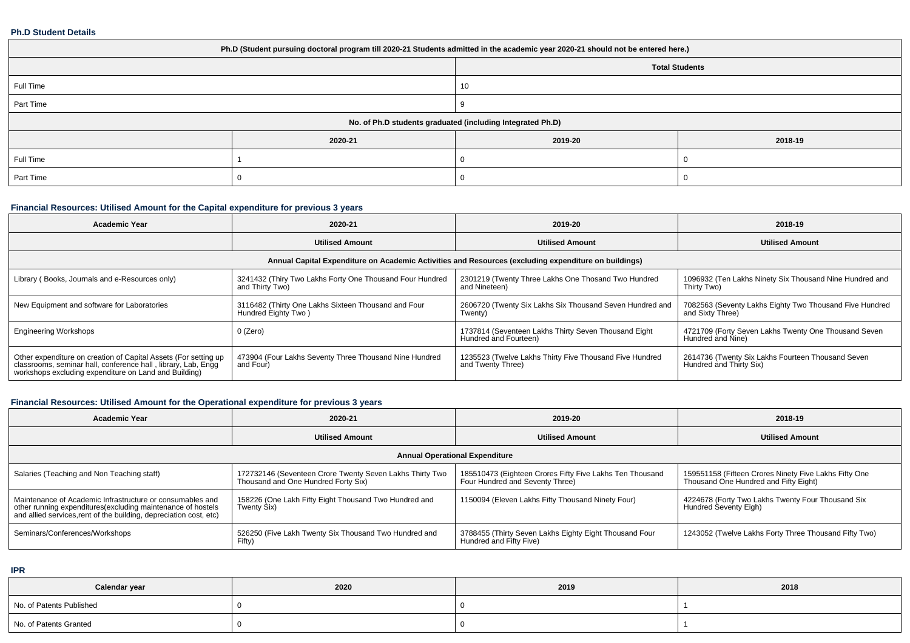#### **Ph.D Student Details**

| Ph.D (Student pursuing doctoral program till 2020-21 Students admitted in the academic year 2020-21 should not be entered here.) |                                                            |         |         |  |  |  |  |
|----------------------------------------------------------------------------------------------------------------------------------|------------------------------------------------------------|---------|---------|--|--|--|--|
| <b>Total Students</b>                                                                                                            |                                                            |         |         |  |  |  |  |
| Full Time<br>10                                                                                                                  |                                                            |         |         |  |  |  |  |
| Part Time                                                                                                                        |                                                            |         |         |  |  |  |  |
|                                                                                                                                  | No. of Ph.D students graduated (including Integrated Ph.D) |         |         |  |  |  |  |
|                                                                                                                                  | 2020-21                                                    | 2019-20 | 2018-19 |  |  |  |  |
| Full Time                                                                                                                        |                                                            |         |         |  |  |  |  |
| Part Time                                                                                                                        |                                                            |         |         |  |  |  |  |

# **Financial Resources: Utilised Amount for the Capital expenditure for previous 3 years**

| <b>Academic Year</b>                                                                                                                                                                      | 2020-21                                                                                              | 2019-20                                                                       | 2018-19                                                                      |  |  |  |  |  |  |
|-------------------------------------------------------------------------------------------------------------------------------------------------------------------------------------------|------------------------------------------------------------------------------------------------------|-------------------------------------------------------------------------------|------------------------------------------------------------------------------|--|--|--|--|--|--|
|                                                                                                                                                                                           | <b>Utilised Amount</b>                                                                               | <b>Utilised Amount</b>                                                        | <b>Utilised Amount</b>                                                       |  |  |  |  |  |  |
|                                                                                                                                                                                           | Annual Capital Expenditure on Academic Activities and Resources (excluding expenditure on buildings) |                                                                               |                                                                              |  |  |  |  |  |  |
| Library (Books, Journals and e-Resources only)                                                                                                                                            | 3241432 (Thiry Two Lakhs Forty One Thousand Four Hundred<br>and Thirty Two)                          | 2301219 (Twenty Three Lakhs One Thosand Two Hundred<br>and Nineteen)          | 1096932 (Ten Lakhs Ninety Six Thousand Nine Hundred and<br>Thirty Two)       |  |  |  |  |  |  |
| New Equipment and software for Laboratories                                                                                                                                               | 3116482 (Thirty One Lakhs Sixteen Thousand and Four<br>Hundred Eighty Two)                           | 2606720 (Twenty Six Lakhs Six Thousand Seven Hundred and<br>Twenty)           | 7082563 (Seventy Lakhs Eighty Two Thousand Five Hundred<br>and Sixty Three)  |  |  |  |  |  |  |
| <b>Engineering Workshops</b>                                                                                                                                                              | 0 (Zero)                                                                                             | 1737814 (Seventeen Lakhs Thirty Seven Thousand Eight<br>Hundred and Fourteen) | 4721709 (Forty Seven Lakhs Twenty One Thousand Seven<br>Hundred and Nine)    |  |  |  |  |  |  |
| Other expenditure on creation of Capital Assets (For setting up<br>classrooms, seminar hall, conference hall, library, Lab, Engq<br>workshops excluding expenditure on Land and Building) | 473904 (Four Lakhs Seventy Three Thousand Nine Hundred<br>and Four)                                  | 1235523 (Twelve Lakhs Thirty Five Thousand Five Hundred<br>and Twenty Three)  | 2614736 (Twenty Six Lakhs Fourteen Thousand Seven<br>Hundred and Thirty Six) |  |  |  |  |  |  |

# **Financial Resources: Utilised Amount for the Operational expenditure for previous 3 years**

| Academic Year                                                                                                                                                                                   | 2020-21                                                                                         | 2019-20                                                                                     | 2018-19                                                                                        |  |  |  |  |  |  |
|-------------------------------------------------------------------------------------------------------------------------------------------------------------------------------------------------|-------------------------------------------------------------------------------------------------|---------------------------------------------------------------------------------------------|------------------------------------------------------------------------------------------------|--|--|--|--|--|--|
|                                                                                                                                                                                                 | <b>Utilised Amount</b>                                                                          | <b>Utilised Amount</b>                                                                      | <b>Utilised Amount</b>                                                                         |  |  |  |  |  |  |
| <b>Annual Operational Expenditure</b>                                                                                                                                                           |                                                                                                 |                                                                                             |                                                                                                |  |  |  |  |  |  |
| Salaries (Teaching and Non Teaching staff)                                                                                                                                                      | 172732146 (Seventeen Crore Twenty Seven Lakhs Thirty Two<br>Thousand and One Hundred Forty Six) | 185510473 (Eighteen Crores Fifty Five Lakhs Ten Thousand<br>Four Hundred and Seventy Three) | 159551158 (Fifteen Crores Ninety Five Lakhs Fifty One<br>Thousand One Hundred and Fifty Eight) |  |  |  |  |  |  |
| Maintenance of Academic Infrastructure or consumables and<br>other running expenditures (excluding maintenance of hostels<br>and allied services, rent of the building, depreciation cost, etc) | 158226 (One Lakh Fifty Eight Thousand Two Hundred and<br>Twenty Six)                            | 1150094 (Eleven Lakhs Fifty Thousand Ninety Four)                                           | 4224678 (Forty Two Lakhs Twenty Four Thousand Six<br>Hundred Seventy Eigh)                     |  |  |  |  |  |  |
| Seminars/Conferences/Workshops                                                                                                                                                                  | 526250 (Five Lakh Twenty Six Thousand Two Hundred and<br>Fifty)                                 | 3788455 (Thirty Seven Lakhs Eighty Eight Thousand Four<br>Hundred and Fifty Five)           | 1243052 (Twelve Lakhs Forty Three Thousand Fifty Two)                                          |  |  |  |  |  |  |

**IPR**

| Calendar year            | 2020 | 2019 | 2018 |
|--------------------------|------|------|------|
| No. of Patents Published |      |      |      |
| No. of Patents Granted   |      |      |      |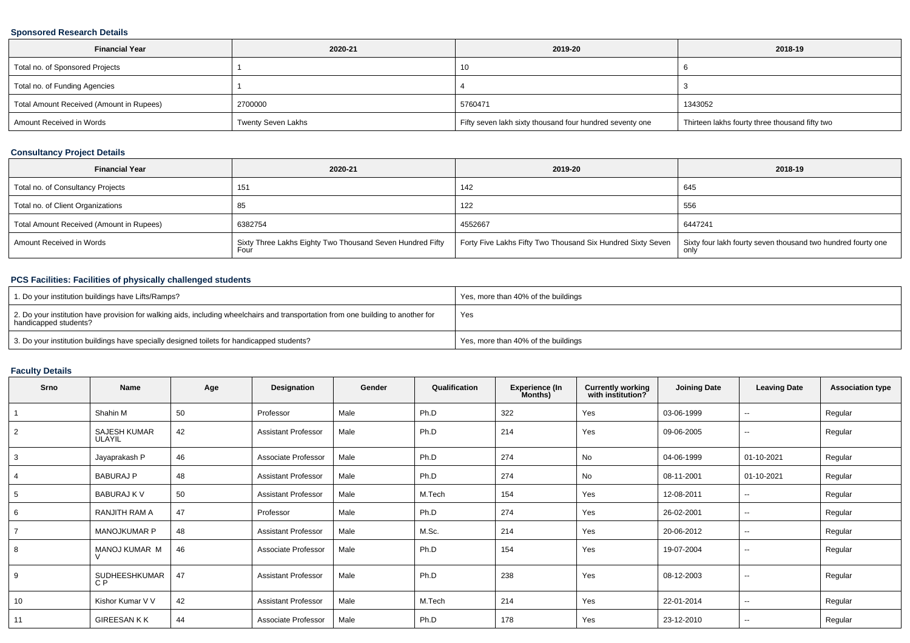### **Sponsored Research Details**

| <b>Financial Year</b>                    | 2020-21                   | 2019-20                                                  | 2018-19                                        |  |
|------------------------------------------|---------------------------|----------------------------------------------------------|------------------------------------------------|--|
| Total no. of Sponsored Projects          |                           | 10                                                       |                                                |  |
| Total no. of Funding Agencies            |                           |                                                          |                                                |  |
| Total Amount Received (Amount in Rupees) | 2700000                   | 5760471                                                  | 1343052                                        |  |
| Amount Received in Words                 | <b>Twenty Seven Lakhs</b> | Fifty seven lakh sixty thousand four hundred seventy one | Thirteen lakhs fourty three thousand fifty two |  |

### **Consultancy Project Details**

| <b>Financial Year</b>                    | 2020-21                                                           | 2019-20                                                                                                                  | 2018-19 |
|------------------------------------------|-------------------------------------------------------------------|--------------------------------------------------------------------------------------------------------------------------|---------|
| Total no. of Consultancy Projects        | 151                                                               | 142                                                                                                                      | 645     |
| Total no. of Client Organizations        |                                                                   | 122                                                                                                                      | 556     |
| Total Amount Received (Amount in Rupees) | 6382754                                                           | 4552667                                                                                                                  | 6447241 |
| Amount Received in Words                 | Sixty Three Lakhs Eighty Two Thousand Seven Hundred Fifty<br>Four | Forty Five Lakhs Fifty Two Thousand Six Hundred Sixty Seven Sixty four lakh fourty seven thousand two hundred fourty one |         |

# **PCS Facilities: Facilities of physically challenged students**

| 1. Do your institution buildings have Lifts/Ramps?                                                                                                         | Yes, more than 40% of the buildings |
|------------------------------------------------------------------------------------------------------------------------------------------------------------|-------------------------------------|
| 2. Do your institution have provision for walking aids, including wheelchairs and transportation from one building to another for<br>handicapped students? | Yes                                 |
| 3. Do your institution buildings have specially designed toilets for handicapped students?                                                                 | Yes, more than 40% of the buildings |

### **Faculty Details**

| Srno           | Name                            | Age | Designation                | Gender | Qualification | <b>Experience (In</b><br>Months) | <b>Currently working</b><br>with institution? | <b>Joining Date</b> | <b>Leaving Date</b>      | <b>Association type</b> |
|----------------|---------------------------------|-----|----------------------------|--------|---------------|----------------------------------|-----------------------------------------------|---------------------|--------------------------|-------------------------|
|                | Shahin M                        | 50  | Professor                  | Male   | Ph.D          | 322                              | Yes                                           | 03-06-1999          | $\sim$                   | Regular                 |
| $\overline{2}$ | <b>SAJESH KUMAR</b><br>ULAYIL   | 42  | <b>Assistant Professor</b> | Male   | Ph.D          | 214                              | Yes                                           | 09-06-2005          | $\sim$                   | Regular                 |
| 3              | Jayaprakash P                   | 46  | Associate Professor        | Male   | Ph.D          | 274                              | No                                            | 04-06-1999          | 01-10-2021               | Regular                 |
|                | <b>BABURAJ P</b>                | 48  | <b>Assistant Professor</b> | Male   | Ph.D          | 274                              | No                                            | 08-11-2001          | 01-10-2021               | Regular                 |
| 5              | <b>BABURAJ K V</b>              | 50  | <b>Assistant Professor</b> | Male   | M.Tech        | 154                              | Yes                                           | 12-08-2011          | $\sim$                   | Regular                 |
| 6              | RANJITH RAM A                   | 47  | Professor                  | Male   | Ph.D          | 274                              | Yes                                           | 26-02-2001          | $\sim$                   | Regular                 |
|                | <b>MANOJKUMAR P</b>             | 48  | <b>Assistant Professor</b> | Male   | M.Sc.         | 214                              | Yes                                           | 20-06-2012          | $\sim$                   | Regular                 |
| 8              | MANOJ KUMAR M<br>$\vee$         | 46  | Associate Professor        | Male   | Ph.D          | 154                              | Yes                                           | 19-07-2004          | $\sim$                   | Regular                 |
| 9              | SUDHEESHKUMAR<br>C <sub>P</sub> | 47  | <b>Assistant Professor</b> | Male   | Ph.D          | 238                              | Yes                                           | 08-12-2003          | $\sim$                   | Regular                 |
| 10             | Kishor Kumar V V                | 42  | <b>Assistant Professor</b> | Male   | M.Tech        | 214                              | Yes                                           | 22-01-2014          | $\overline{\phantom{a}}$ | Regular                 |
| 11             | <b>GIREESANKK</b>               | 44  | Associate Professor        | Male   | Ph.D          | 178                              | Yes                                           | 23-12-2010          | $\sim$                   | Regular                 |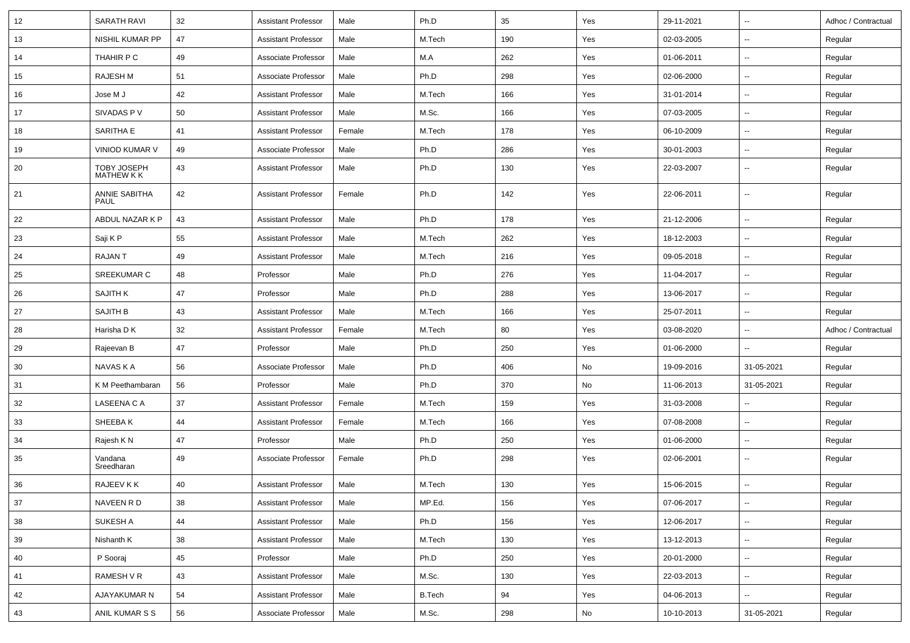| 12     | <b>SARATH RAVI</b>           | 32 | <b>Assistant Professor</b> | Male   | Ph.D          | 35  | Yes           | 29-11-2021 | $\overline{\phantom{a}}$ | Adhoc / Contractual |
|--------|------------------------------|----|----------------------------|--------|---------------|-----|---------------|------------|--------------------------|---------------------|
| 13     | <b>NISHIL KUMAR PP</b>       | 47 | <b>Assistant Professor</b> | Male   | M.Tech        | 190 | Yes           | 02-03-2005 | $\overline{\phantom{a}}$ | Regular             |
| 14     | THAHIR P C                   | 49 | Associate Professor        | Male   | M.A           | 262 | Yes           | 01-06-2011 | $\overline{\phantom{a}}$ | Regular             |
| 15     | RAJESH M                     | 51 | Associate Professor        | Male   | Ph.D          | 298 | Yes           | 02-06-2000 | $\overline{\phantom{a}}$ | Regular             |
| 16     | Jose M J                     | 42 | <b>Assistant Professor</b> | Male   | M.Tech        | 166 | Yes           | 31-01-2014 | $\overline{\phantom{a}}$ | Regular             |
| 17     | SIVADAS P V                  | 50 | <b>Assistant Professor</b> | Male   | M.Sc.         | 166 | Yes           | 07-03-2005 | $\overline{\phantom{a}}$ | Regular             |
| 18     | SARITHA E                    | 41 | <b>Assistant Professor</b> | Female | M.Tech        | 178 | Yes           | 06-10-2009 | ÷.                       | Regular             |
| 19     | VINIOD KUMAR V               | 49 | Associate Professor        | Male   | Ph.D          | 286 | Yes           | 30-01-2003 | ⊶.                       | Regular             |
| 20     | TOBY JOSEPH<br>MATHEW K K    | 43 | <b>Assistant Professor</b> | Male   | Ph.D          | 130 | Yes           | 22-03-2007 | $\overline{\phantom{a}}$ | Regular             |
| 21     | ANNIE SABITHA<br><b>PAUL</b> | 42 | <b>Assistant Professor</b> | Female | Ph.D          | 142 | Yes           | 22-06-2011 | $\overline{\phantom{a}}$ | Regular             |
| 22     | ABDUL NAZAR K P              | 43 | <b>Assistant Professor</b> | Male   | Ph.D          | 178 | Yes           | 21-12-2006 | $\overline{\phantom{a}}$ | Regular             |
| 23     | Saji K P                     | 55 | <b>Assistant Professor</b> | Male   | M.Tech        | 262 | Yes           | 18-12-2003 | $\overline{\phantom{a}}$ | Regular             |
| 24     | RAJAN T                      | 49 | <b>Assistant Professor</b> | Male   | M.Tech        | 216 | Yes           | 09-05-2018 | $\overline{\phantom{a}}$ | Regular             |
| 25     | <b>SREEKUMAR C</b>           | 48 | Professor                  | Male   | Ph.D          | 276 | Yes           | 11-04-2017 | $\overline{\phantom{a}}$ | Regular             |
| 26     | <b>SAJITH K</b>              | 47 | Professor                  | Male   | Ph.D          | 288 | Yes           | 13-06-2017 | $\overline{\phantom{a}}$ | Regular             |
| 27     | SAJITH B                     | 43 | <b>Assistant Professor</b> | Male   | M.Tech        | 166 | Yes           | 25-07-2011 | $\sim$                   | Regular             |
| 28     | Harisha D K                  | 32 | <b>Assistant Professor</b> | Female | M.Tech        | 80  | Yes           | 03-08-2020 | $\overline{\phantom{a}}$ | Adhoc / Contractual |
| 29     | Rajeevan B                   | 47 | Professor                  | Male   | Ph.D          | 250 | Yes           | 01-06-2000 | $\overline{\phantom{a}}$ | Regular             |
| 30     | NAVAS K A                    | 56 | Associate Professor        | Male   | Ph.D          | 406 | No            | 19-09-2016 | 31-05-2021               | Regular             |
| 31     | K M Peethambaran             | 56 | Professor                  | Male   | Ph.D          | 370 | No            | 11-06-2013 | 31-05-2021               | Regular             |
| 32     | LASEENA C A                  | 37 | <b>Assistant Professor</b> | Female | M.Tech        | 159 | Yes           | 31-03-2008 | ÷.                       | Regular             |
| 33     | SHEEBAK                      | 44 | <b>Assistant Professor</b> | Female | M.Tech        | 166 | Yes           | 07-08-2008 | $\sim$                   | Regular             |
| 34     | Rajesh K N                   | 47 | Professor                  | Male   | Ph.D          | 250 | Yes           | 01-06-2000 | $\sim$                   | Regular             |
| 35     | Vandana<br>Sreedharan        | 49 | Associate Professor        | Female | Ph.D          | 298 | Yes           | 02-06-2001 | $\overline{\phantom{a}}$ | Regular             |
| 36     | RAJEEV K K                   | 40 | <b>Assistant Professor</b> | Male   | M.Tech        | 130 | Yes           | 15-06-2015 | $\overline{\phantom{a}}$ | Regular             |
| $37\,$ | NAVEEN R D                   | 38 | <b>Assistant Professor</b> | Male   | MP.Ed.        | 156 | Yes           | 07-06-2017 | $\overline{\phantom{a}}$ | Regular             |
| 38     | SUKESH A                     | 44 | <b>Assistant Professor</b> | Male   | Ph.D          | 156 | Yes           | 12-06-2017 | $\overline{\phantom{a}}$ | Regular             |
| 39     | Nishanth K                   | 38 | <b>Assistant Professor</b> | Male   | M.Tech        | 130 | Yes           | 13-12-2013 | Ξ.                       | Regular             |
| 40     | P Sooraj                     | 45 | Professor                  | Male   | Ph.D          | 250 | Yes           | 20-01-2000 | щ.                       | Regular             |
| 41     | RAMESH V R                   | 43 | <b>Assistant Professor</b> | Male   | M.Sc.         | 130 | Yes           | 22-03-2013 | н,                       | Regular             |
| 42     | AJAYAKUMAR N                 | 54 | <b>Assistant Professor</b> | Male   | <b>B.Tech</b> | 94  | Yes           | 04-06-2013 | щ.                       | Regular             |
| 43     | ANIL KUMAR S S               | 56 | Associate Professor        | Male   | M.Sc.         | 298 | $\mathsf{No}$ | 10-10-2013 | 31-05-2021               | Regular             |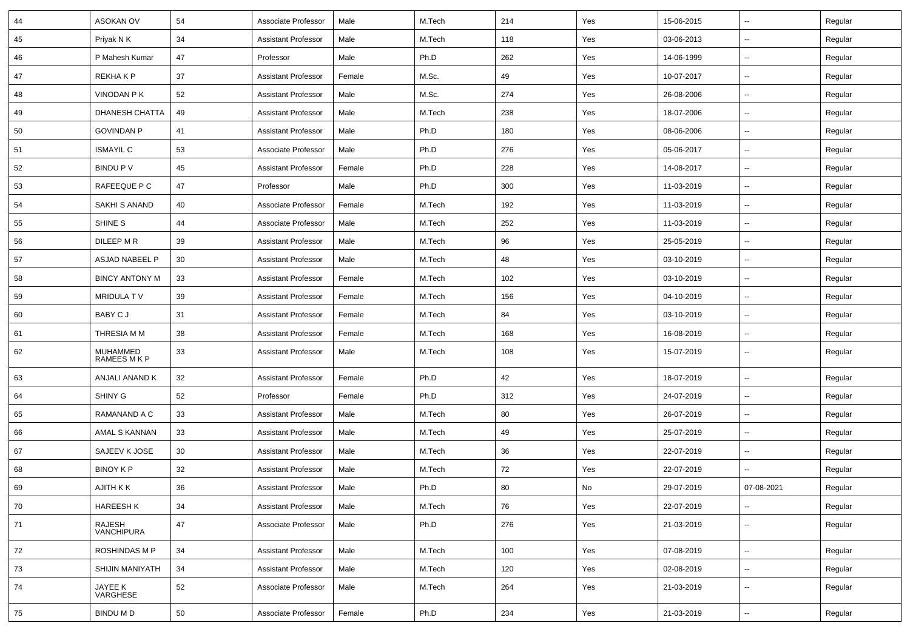| 44 | <b>ASOKAN OV</b>         | 54     | Associate Professor        | Male   | M.Tech | 214 | Yes | 15-06-2015 | $\mathbf{u}$             | Regular |
|----|--------------------------|--------|----------------------------|--------|--------|-----|-----|------------|--------------------------|---------|
| 45 | Priyak N K               | 34     | <b>Assistant Professor</b> | Male   | M.Tech | 118 | Yes | 03-06-2013 | $\sim$                   | Regular |
| 46 | P Mahesh Kumar           | 47     | Professor                  | Male   | Ph.D   | 262 | Yes | 14-06-1999 | --                       | Regular |
| 47 | REKHA K P                | 37     | <b>Assistant Professor</b> | Female | M.Sc.  | 49  | Yes | 10-07-2017 | $\sim$                   | Regular |
| 48 | VINODAN P K              | 52     | <b>Assistant Professor</b> | Male   | M.Sc.  | 274 | Yes | 26-08-2006 | $\overline{\phantom{a}}$ | Regular |
| 49 | DHANESH CHATTA           | 49     | <b>Assistant Professor</b> | Male   | M.Tech | 238 | Yes | 18-07-2006 | $\mathbf{u}$             | Regular |
| 50 | <b>GOVINDAN P</b>        | 41     | <b>Assistant Professor</b> | Male   | Ph.D   | 180 | Yes | 08-06-2006 | $\sim$                   | Regular |
| 51 | <b>ISMAYIL C</b>         | 53     | Associate Professor        | Male   | Ph.D   | 276 | Yes | 05-06-2017 | $\sim$                   | Regular |
| 52 | BINDU P V                | 45     | <b>Assistant Professor</b> | Female | Ph.D   | 228 | Yes | 14-08-2017 | $\sim$                   | Regular |
| 53 | RAFEEQUE P C             | 47     | Professor                  | Male   | Ph.D   | 300 | Yes | 11-03-2019 | $\sim$                   | Regular |
| 54 | SAKHI S ANAND            | 40     | Associate Professor        | Female | M.Tech | 192 | Yes | 11-03-2019 | $\overline{\phantom{a}}$ | Regular |
| 55 | SHINE S                  | 44     | Associate Professor        | Male   | M.Tech | 252 | Yes | 11-03-2019 | $\sim$                   | Regular |
| 56 | DILEEP M R               | 39     | <b>Assistant Professor</b> | Male   | M.Tech | 96  | Yes | 25-05-2019 | $\sim$                   | Regular |
| 57 | ASJAD NABEEL P           | 30     | <b>Assistant Professor</b> | Male   | M.Tech | 48  | Yes | 03-10-2019 | $\sim$                   | Regular |
| 58 | <b>BINCY ANTONY M</b>    | 33     | <b>Assistant Professor</b> | Female | M.Tech | 102 | Yes | 03-10-2019 | $\sim$                   | Regular |
| 59 | MRIDULA TV               | 39     | <b>Assistant Professor</b> | Female | M.Tech | 156 | Yes | 04-10-2019 | $\sim$                   | Regular |
| 60 | BABY C J                 | 31     | <b>Assistant Professor</b> | Female | M.Tech | 84  | Yes | 03-10-2019 | $\overline{a}$           | Regular |
| 61 | THRESIA M M              | 38     | <b>Assistant Professor</b> | Female | M.Tech | 168 | Yes | 16-08-2019 | $\sim$                   | Regular |
| 62 | MUHAMMED<br>RAMEES M K P | 33     | <b>Assistant Professor</b> | Male   | M.Tech | 108 | Yes | 15-07-2019 | $\sim$                   | Regular |
| 63 | ANJALI ANAND K           | 32     | <b>Assistant Professor</b> | Female | Ph.D   | 42  | Yes | 18-07-2019 | $\sim$                   | Regular |
| 64 | SHINY G                  | 52     | Professor                  | Female | Ph.D   | 312 | Yes | 24-07-2019 | $\sim$                   | Regular |
| 65 | RAMANAND A C             | 33     | <b>Assistant Professor</b> | Male   | M.Tech | 80  | Yes | 26-07-2019 | $\sim$                   | Regular |
| 66 | AMAL S KANNAN            | 33     | <b>Assistant Professor</b> | Male   | M.Tech | 49  | Yes | 25-07-2019 | Ξ.                       | Regular |
| 67 | SAJEEV K JOSE            | 30     | <b>Assistant Professor</b> | Male   | M.Tech | 36  | Yes | 22-07-2019 | $\overline{\phantom{a}}$ | Regular |
| 68 | <b>BINOY K P</b>         | 32     | <b>Assistant Professor</b> | Male   | M.Tech | 72  | Yes | 22-07-2019 |                          | Regular |
| 69 | AJITH K K                | 36     | <b>Assistant Professor</b> | Male   | Ph.D   | 80  | No  | 29-07-2019 | 07-08-2021               | Regular |
| 70 | <b>HAREESH K</b>         | 34     | <b>Assistant Professor</b> | Male   | M.Tech | 76  | Yes | 22-07-2019 | $\overline{\phantom{a}}$ | Regular |
| 71 | RAJESH<br>VANCHIPURA     | 47     | Associate Professor        | Male   | Ph.D   | 276 | Yes | 21-03-2019 | $\sim$                   | Regular |
| 72 | <b>ROSHINDAS M P</b>     | 34     | <b>Assistant Professor</b> | Male   | M.Tech | 100 | Yes | 07-08-2019 | $\overline{\phantom{a}}$ | Regular |
| 73 | SHIJIN MANIYATH          | 34     | <b>Assistant Professor</b> | Male   | M.Tech | 120 | Yes | 02-08-2019 | $\sim$                   | Regular |
| 74 | JAYEE K<br>VARGHESE      | 52     | Associate Professor        | Male   | M.Tech | 264 | Yes | 21-03-2019 | Ξ.                       | Regular |
| 75 | <b>BINDU M D</b>         | $50\,$ | Associate Professor        | Female | Ph.D   | 234 | Yes | 21-03-2019 | $\sim$                   | Regular |